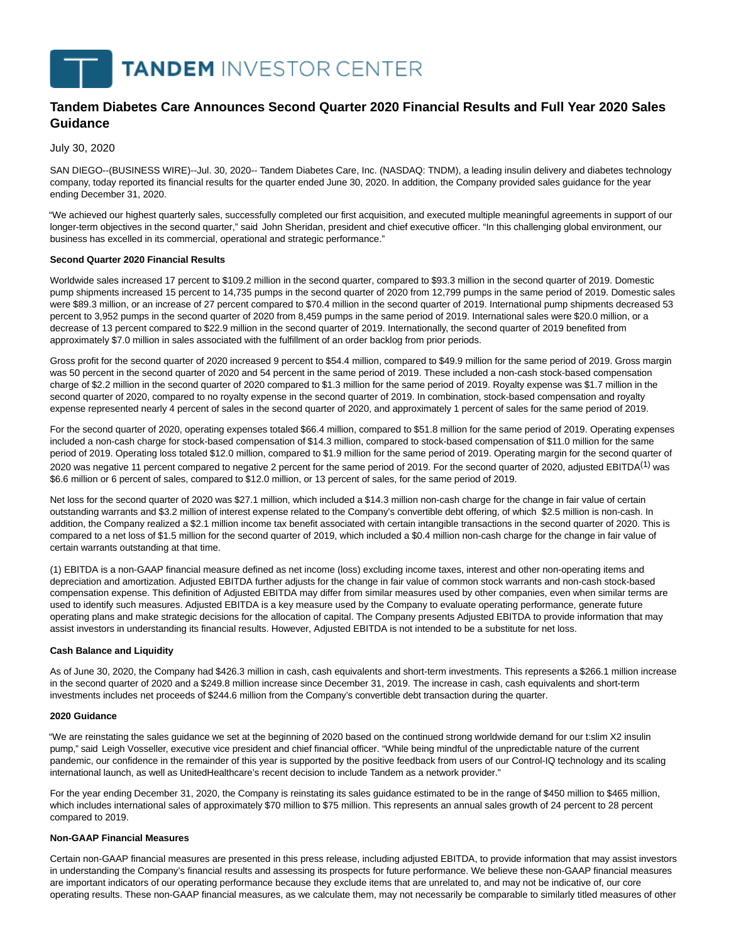# **Tandem Diabetes Care Announces Second Quarter 2020 Financial Results and Full Year 2020 Sales Guidance**

July 30, 2020

SAN DIEGO--(BUSINESS WIRE)--Jul. 30, 2020-- Tandem Diabetes Care, Inc. (NASDAQ: TNDM), a leading insulin delivery and diabetes technology company, today reported its financial results for the quarter ended June 30, 2020. In addition, the Company provided sales guidance for the year ending December 31, 2020.

"We achieved our highest quarterly sales, successfully completed our first acquisition, and executed multiple meaningful agreements in support of our longer-term objectives in the second quarter," said John Sheridan, president and chief executive officer. "In this challenging global environment, our business has excelled in its commercial, operational and strategic performance."

#### **Second Quarter 2020 Financial Results**

Worldwide sales increased 17 percent to \$109.2 million in the second quarter, compared to \$93.3 million in the second quarter of 2019. Domestic pump shipments increased 15 percent to 14,735 pumps in the second quarter of 2020 from 12,799 pumps in the same period of 2019. Domestic sales were \$89.3 million, or an increase of 27 percent compared to \$70.4 million in the second quarter of 2019. International pump shipments decreased 53 percent to 3,952 pumps in the second quarter of 2020 from 8,459 pumps in the same period of 2019. International sales were \$20.0 million, or a decrease of 13 percent compared to \$22.9 million in the second quarter of 2019. Internationally, the second quarter of 2019 benefited from approximately \$7.0 million in sales associated with the fulfillment of an order backlog from prior periods.

Gross profit for the second quarter of 2020 increased 9 percent to \$54.4 million, compared to \$49.9 million for the same period of 2019. Gross margin was 50 percent in the second quarter of 2020 and 54 percent in the same period of 2019. These included a non-cash stock-based compensation charge of \$2.2 million in the second quarter of 2020 compared to \$1.3 million for the same period of 2019. Royalty expense was \$1.7 million in the second quarter of 2020, compared to no royalty expense in the second quarter of 2019. In combination, stock-based compensation and royalty expense represented nearly 4 percent of sales in the second quarter of 2020, and approximately 1 percent of sales for the same period of 2019.

For the second quarter of 2020, operating expenses totaled \$66.4 million, compared to \$51.8 million for the same period of 2019. Operating expenses included a non-cash charge for stock-based compensation of \$14.3 million, compared to stock-based compensation of \$11.0 million for the same period of 2019. Operating loss totaled \$12.0 million, compared to \$1.9 million for the same period of 2019. Operating margin for the second quarter of 2020 was negative 11 percent compared to negative 2 percent for the same period of 2019. For the second quarter of 2020, adjusted EBITDA<sup>(1)</sup> was \$6.6 million or 6 percent of sales, compared to \$12.0 million, or 13 percent of sales, for the same period of 2019.

Net loss for the second quarter of 2020 was \$27.1 million, which included a \$14.3 million non-cash charge for the change in fair value of certain outstanding warrants and \$3.2 million of interest expense related to the Company's convertible debt offering, of which \$2.5 million is non-cash. In addition, the Company realized a \$2.1 million income tax benefit associated with certain intangible transactions in the second quarter of 2020. This is compared to a net loss of \$1.5 million for the second quarter of 2019, which included a \$0.4 million non-cash charge for the change in fair value of certain warrants outstanding at that time.

(1) EBITDA is a non-GAAP financial measure defined as net income (loss) excluding income taxes, interest and other non-operating items and depreciation and amortization. Adjusted EBITDA further adjusts for the change in fair value of common stock warrants and non-cash stock-based compensation expense. This definition of Adjusted EBITDA may differ from similar measures used by other companies, even when similar terms are used to identify such measures. Adjusted EBITDA is a key measure used by the Company to evaluate operating performance, generate future operating plans and make strategic decisions for the allocation of capital. The Company presents Adjusted EBITDA to provide information that may assist investors in understanding its financial results. However, Adjusted EBITDA is not intended to be a substitute for net loss.

#### **Cash Balance and Liquidity**

As of June 30, 2020, the Company had \$426.3 million in cash, cash equivalents and short-term investments. This represents a \$266.1 million increase in the second quarter of 2020 and a \$249.8 million increase since December 31, 2019. The increase in cash, cash equivalents and short-term investments includes net proceeds of \$244.6 million from the Company's convertible debt transaction during the quarter.

#### **2020 Guidance**

"We are reinstating the sales guidance we set at the beginning of 2020 based on the continued strong worldwide demand for our t:slim X2 insulin pump," said Leigh Vosseller, executive vice president and chief financial officer. "While being mindful of the unpredictable nature of the current pandemic, our confidence in the remainder of this year is supported by the positive feedback from users of our Control-IQ technology and its scaling international launch, as well as UnitedHealthcare's recent decision to include Tandem as a network provider."

For the year ending December 31, 2020, the Company is reinstating its sales guidance estimated to be in the range of \$450 million to \$465 million, which includes international sales of approximately \$70 million to \$75 million. This represents an annual sales growth of 24 percent to 28 percent compared to 2019.

## **Non-GAAP Financial Measures**

Certain non-GAAP financial measures are presented in this press release, including adjusted EBITDA, to provide information that may assist investors in understanding the Company's financial results and assessing its prospects for future performance. We believe these non-GAAP financial measures are important indicators of our operating performance because they exclude items that are unrelated to, and may not be indicative of, our core operating results. These non-GAAP financial measures, as we calculate them, may not necessarily be comparable to similarly titled measures of other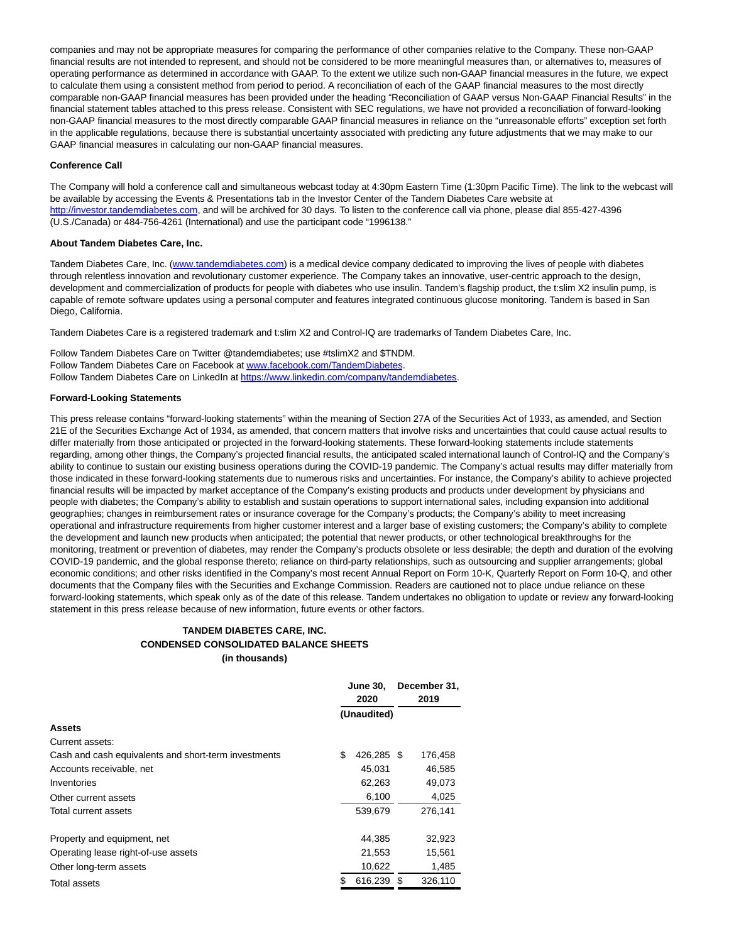companies and may not be appropriate measures for comparing the performance of other companies relative to the Company. These non-GAAP financial results are not intended to represent, and should not be considered to be more meaningful measures than, or alternatives to, measures of operating performance as determined in accordance with GAAP. To the extent we utilize such non-GAAP financial measures in the future, we expect to calculate them using a consistent method from period to period. A reconciliation of each of the GAAP financial measures to the most directly comparable non-GAAP financial measures has been provided under the heading "Reconciliation of GAAP versus Non-GAAP Financial Results" in the financial statement tables attached to this press release. Consistent with SEC regulations, we have not provided a reconciliation of forward-looking non-GAAP financial measures to the most directly comparable GAAP financial measures in reliance on the "unreasonable efforts" exception set forth in the applicable regulations, because there is substantial uncertainty associated with predicting any future adjustments that we may make to our GAAP financial measures in calculating our non-GAAP financial measures.

#### **Conference Call**

The Company will hold a conference call and simultaneous webcast today at 4:30pm Eastern Time (1:30pm Pacific Time). The link to the webcast will be available by accessing the Events & Presentations tab in the Investor Center of the Tandem Diabetes Care website at [http://investor.tandemdiabetes.com,](https://cts.businesswire.com/ct/CT?id=smartlink&url=http%3A%2F%2Finvestor.tandemdiabetes.com&esheet=52258405&newsitemid=20200730005917&lan=en-US&anchor=http%3A%2F%2Finvestor.tandemdiabetes.com&index=1&md5=f46b357b91f9693ed9be01521e5ded41) and will be archived for 30 days. To listen to the conference call via phone, please dial 855-427-4396 (U.S./Canada) or 484-756-4261 (International) and use the participant code "1996138."

#### **About Tandem Diabetes Care, Inc.**

Tandem Diabetes Care, Inc. [\(www.tandemdiabetes.com\)](https://cts.businesswire.com/ct/CT?id=smartlink&url=http%3A%2F%2Fwww.tandemdiabetes.com&esheet=52258405&newsitemid=20200730005917&lan=en-US&anchor=www.tandemdiabetes.com&index=2&md5=14f76d72846595d9c4d6c8e88f0588ef) is a medical device company dedicated to improving the lives of people with diabetes through relentless innovation and revolutionary customer experience. The Company takes an innovative, user-centric approach to the design, development and commercialization of products for people with diabetes who use insulin. Tandem's flagship product, the t:slim X2 insulin pump, is capable of remote software updates using a personal computer and features integrated continuous glucose monitoring. Tandem is based in San Diego, California.

Tandem Diabetes Care is a registered trademark and t:slim X2 and Control-IQ are trademarks of Tandem Diabetes Care, Inc.

Follow Tandem Diabetes Care on Twitter @tandemdiabetes; use #tslimX2 and \$TNDM. Follow Tandem Diabetes Care on Facebook a[t www.facebook.com/TandemDiabetes.](https://cts.businesswire.com/ct/CT?id=smartlink&url=http%3A%2F%2Fwww.facebook.com%2FTandemDiabetes&esheet=52258405&newsitemid=20200730005917&lan=en-US&anchor=www.facebook.com%2FTandemDiabetes&index=3&md5=024dd63806636da1ee6124ae12a9cf09) Follow Tandem Diabetes Care on LinkedIn a[t https://www.linkedin.com/company/tandemdiabetes.](https://cts.businesswire.com/ct/CT?id=smartlink&url=https%3A%2F%2Fwww.linkedin.com%2Fcompany%2Ftandemdiabetes&esheet=52258405&newsitemid=20200730005917&lan=en-US&anchor=https%3A%2F%2Fwww.linkedin.com%2Fcompany%2Ftandemdiabetes&index=4&md5=61f92473f125bbf130e518b0e4cc82a9)

### **Forward-Looking Statements**

This press release contains "forward-looking statements" within the meaning of Section 27A of the Securities Act of 1933, as amended, and Section 21E of the Securities Exchange Act of 1934, as amended, that concern matters that involve risks and uncertainties that could cause actual results to differ materially from those anticipated or projected in the forward-looking statements. These forward-looking statements include statements regarding, among other things, the Company's projected financial results, the anticipated scaled international launch of Control-IQ and the Company's ability to continue to sustain our existing business operations during the COVID-19 pandemic. The Company's actual results may differ materially from those indicated in these forward-looking statements due to numerous risks and uncertainties. For instance, the Company's ability to achieve projected financial results will be impacted by market acceptance of the Company's existing products and products under development by physicians and people with diabetes; the Company's ability to establish and sustain operations to support international sales, including expansion into additional geographies; changes in reimbursement rates or insurance coverage for the Company's products; the Company's ability to meet increasing operational and infrastructure requirements from higher customer interest and a larger base of existing customers; the Company's ability to complete the development and launch new products when anticipated; the potential that newer products, or other technological breakthroughs for the monitoring, treatment or prevention of diabetes, may render the Company's products obsolete or less desirable; the depth and duration of the evolving COVID-19 pandemic, and the global response thereto; reliance on third-party relationships, such as outsourcing and supplier arrangements; global economic conditions; and other risks identified in the Company's most recent Annual Report on Form 10-K, Quarterly Report on Form 10-Q, and other documents that the Company files with the Securities and Exchange Commission. Readers are cautioned not to place undue reliance on these forward-looking statements, which speak only as of the date of this release. Tandem undertakes no obligation to update or review any forward-looking statement in this press release because of new information, future events or other factors.

# **TANDEM DIABETES CARE, INC. CONDENSED CONSOLIDATED BALANCE SHEETS (in thousands)**

|                                                      | <b>June 30.</b><br>2020 | December 31,<br>2019 |         |  |
|------------------------------------------------------|-------------------------|----------------------|---------|--|
|                                                      | (Unaudited)             |                      |         |  |
| <b>Assets</b>                                        |                         |                      |         |  |
| Current assets:                                      |                         |                      |         |  |
| Cash and cash equivalents and short-term investments | \$<br>426,285 \$        |                      | 176,458 |  |
| Accounts receivable, net                             | 45,031                  |                      | 46,585  |  |
| Inventories                                          | 62,263                  |                      | 49,073  |  |
| Other current assets                                 | 6,100                   |                      | 4,025   |  |
| Total current assets                                 | 539,679                 |                      | 276,141 |  |
| Property and equipment, net                          | 44.385                  |                      | 32,923  |  |
| Operating lease right-of-use assets                  | 21,553                  |                      | 15,561  |  |
| Other long-term assets                               | 10,622                  |                      | 1,485   |  |
| <b>Total assets</b>                                  | 616,239                 | \$.                  | 326,110 |  |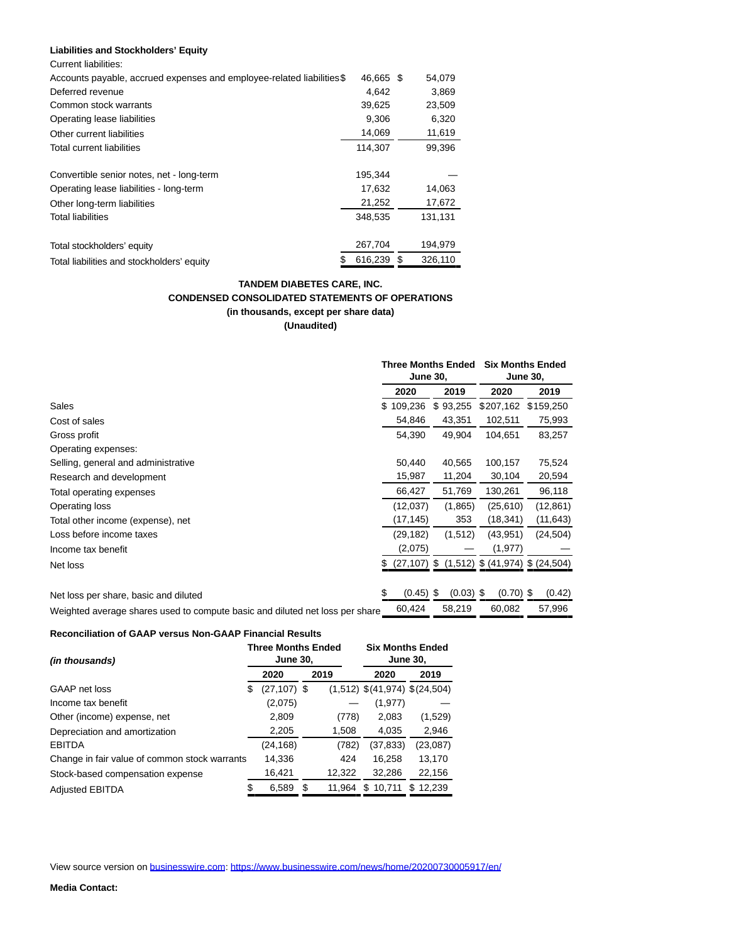### **Liabilities and Stockholders' Equity**

| <b>Current liabilities:</b> |  |
|-----------------------------|--|
|-----------------------------|--|

|         |   | 54,079    |
|---------|---|-----------|
| 4.642   |   | 3,869     |
| 39,625  |   | 23,509    |
| 9,306   |   | 6,320     |
| 14,069  |   | 11,619    |
| 114.307 |   | 99,396    |
| 195,344 |   |           |
| 17,632  |   | 14,063    |
| 21,252  |   | 17,672    |
| 348,535 |   | 131,131   |
| 267,704 |   | 194,979   |
| 616,239 | S | 326.110   |
|         |   | 46.665 \$ |

# **TANDEM DIABETES CARE, INC. CONDENSED CONSOLIDATED STATEMENTS OF OPERATIONS (in thousands, except per share data) (Unaudited)**

|                                                                              |     | <b>Three Months Ended</b><br><b>June 30,</b> |                   |  | <b>Six Months Ended</b><br><b>June 30,</b> |           |        |
|------------------------------------------------------------------------------|-----|----------------------------------------------|-------------------|--|--------------------------------------------|-----------|--------|
|                                                                              |     | 2020                                         | 2019              |  | 2020                                       | 2019      |        |
| Sales                                                                        | \$. | 109,236                                      | \$93,255          |  | \$207,162                                  | \$159,250 |        |
| Cost of sales                                                                |     | 54,846                                       | 43,351            |  | 102,511                                    | 75,993    |        |
| Gross profit                                                                 |     | 54,390                                       | 49,904            |  | 104,651                                    | 83,257    |        |
| Operating expenses:                                                          |     |                                              |                   |  |                                            |           |        |
| Selling, general and administrative                                          |     | 50,440                                       | 40,565            |  | 100,157                                    | 75,524    |        |
| Research and development                                                     |     | 15,987                                       | 11,204            |  | 30,104                                     | 20,594    |        |
| Total operating expenses                                                     |     | 66,427                                       | 51,769            |  | 130,261                                    | 96,118    |        |
| Operating loss                                                               |     | (12,037)                                     | (1,865)           |  | (25,610)                                   | (12, 861) |        |
| Total other income (expense), net                                            |     | (17, 145)                                    | 353               |  | (18, 341)                                  | (11, 643) |        |
| Loss before income taxes                                                     |     | (29, 182)                                    | (1, 512)          |  | (43, 951)                                  | (24, 504) |        |
| Income tax benefit                                                           |     | (2,075)                                      |                   |  | (1, 977)                                   |           |        |
| Net loss                                                                     | S   | $(27, 107)$ \$                               |                   |  | $(1,512)$ \$ $(41,974)$ \$ $(24,504)$      |           |        |
|                                                                              |     |                                              |                   |  |                                            |           |        |
| Net loss per share, basic and diluted                                        |     | (0.45)                                       | $(0.03)$ \$<br>\$ |  | $(0.70)$ \$                                |           | (0.42) |
| Weighted average shares used to compute basic and diluted net loss per share |     | 60.424                                       | 58,219            |  | 60,082                                     | 57,996    |        |

#### **Reconciliation of GAAP versus Non-GAAP Financial Results**

| <i>(in thousands)</i>                         |    | <b>Three Months Ended</b><br><b>June 30,</b> |   |        | <b>Six Months Ended</b><br><b>June 30,</b> |               |  |  |
|-----------------------------------------------|----|----------------------------------------------|---|--------|--------------------------------------------|---------------|--|--|
|                                               |    | 2020                                         |   | 2019   | 2020                                       | 2019          |  |  |
| GAAP net loss                                 | S  | $(27, 107)$ \$                               |   |        | $(1,512)$ \$ $(41,974)$ \$ $(24,504)$      |               |  |  |
| Income tax benefit                            |    | (2,075)                                      |   |        | (1, 977)                                   |               |  |  |
| Other (income) expense, net                   |    | 2,809                                        |   | (778)  | 2,083                                      | (1,529)       |  |  |
| Depreciation and amortization                 |    | 2,205                                        |   | 1,508  | 4,035                                      | 2,946         |  |  |
| <b>EBITDA</b>                                 |    | (24, 168)                                    |   | (782)  | (37, 833)                                  | (23,087)      |  |  |
| Change in fair value of common stock warrants |    | 14,336                                       |   | 424    | 16,258                                     | 13,170        |  |  |
| Stock-based compensation expense              |    | 16,421                                       |   | 12,322 | 32,286                                     | 22,156        |  |  |
| <b>Adjusted EBITDA</b>                        | \$ | 6,589                                        | S | 11.964 | 10.711<br>\$                               | 12.239<br>\$. |  |  |

View source version on [businesswire.com:](http://businesswire.com/)<https://www.businesswire.com/news/home/20200730005917/en/>